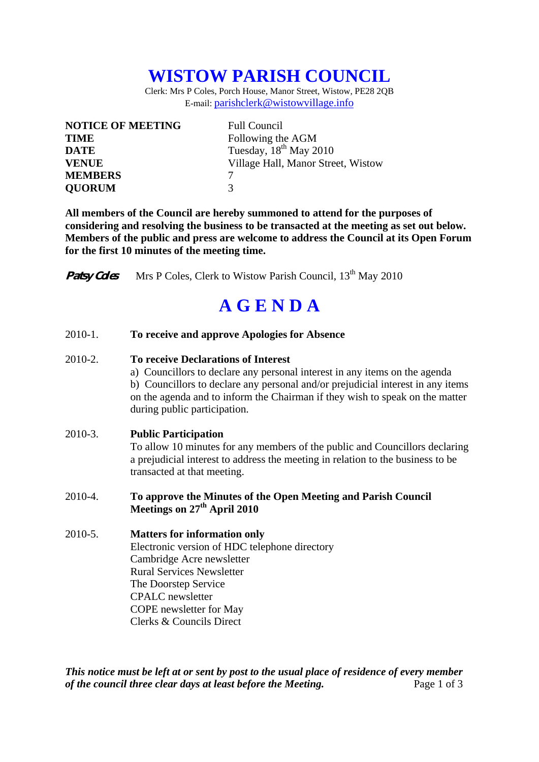## **WISTOW PARISH COUNCIL**

Clerk: Mrs P Coles, Porch House, Manor Street, Wistow, PE28 2QB E-mail: parishclerk@wistowvillage.info

| <b>NOTICE OF MEETING</b> | <b>Full Council</b>                |
|--------------------------|------------------------------------|
| <b>TIME</b>              | Following the AGM                  |
| <b>DATE</b>              | Tuesday, $18^{th}$ May 2010        |
| <b>VENUE</b>             | Village Hall, Manor Street, Wistow |
| <b>MEMBERS</b>           |                                    |
| <b>OUORUM</b>            | 3                                  |

**All members of the Council are hereby summoned to attend for the purposes of considering and resolving the business to be transacted at the meeting as set out below. Members of the public and press are welcome to address the Council at its Open Forum for the first 10 minutes of the meeting time.** 

**Patsy Coles** Mrs P Coles, Clerk to Wistow Parish Council, 13<sup>th</sup> May 2010

## **A G E N D A**

2010-1. **To receive and approve Apologies for Absence** 

## 2010-2. **To receive Declarations of Interest**

 a) Councillors to declare any personal interest in any items on the agenda b) Councillors to declare any personal and/or prejudicial interest in any items on the agenda and to inform the Chairman if they wish to speak on the matter during public participation.

## 2010-3. **Public Participation**

To allow 10 minutes for any members of the public and Councillors declaring a prejudicial interest to address the meeting in relation to the business to be transacted at that meeting.

- 2010-4. **To approve the Minutes of the Open Meeting and Parish Council Meetings on 27<sup>th</sup> April 2010**
- 2010-5. **Matters for information only** Electronic version of HDC telephone directory Cambridge Acre newsletter Rural Services Newsletter The Doorstep Service CPALC newsletter COPE newsletter for May Clerks & Councils Direct

*This notice must be left at or sent by post to the usual place of residence of every member of the council three clear days at least before the Meeting.* Page 1 of 3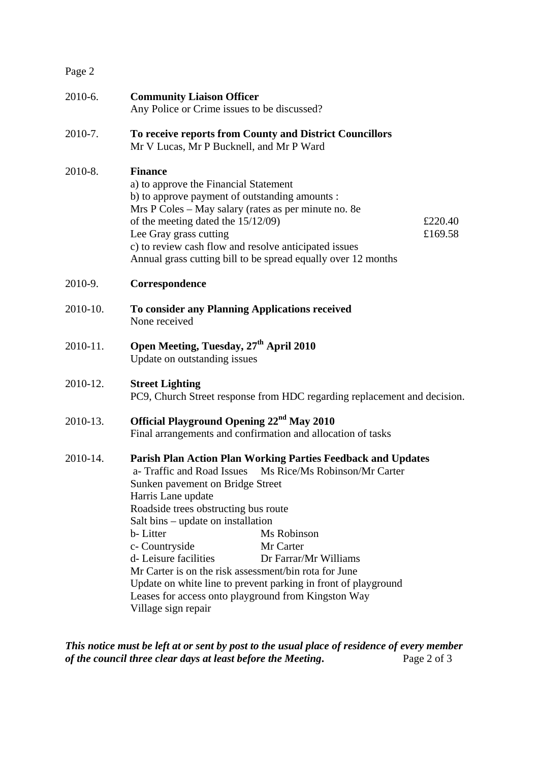| Page 2   |                                                                                                                                                                                                                                                                                                                                                                                                                                                                                                                                                                                             |
|----------|---------------------------------------------------------------------------------------------------------------------------------------------------------------------------------------------------------------------------------------------------------------------------------------------------------------------------------------------------------------------------------------------------------------------------------------------------------------------------------------------------------------------------------------------------------------------------------------------|
| 2010-6.  | <b>Community Liaison Officer</b><br>Any Police or Crime issues to be discussed?                                                                                                                                                                                                                                                                                                                                                                                                                                                                                                             |
| 2010-7.  | To receive reports from County and District Councillors<br>Mr V Lucas, Mr P Bucknell, and Mr P Ward                                                                                                                                                                                                                                                                                                                                                                                                                                                                                         |
| 2010-8.  | <b>Finance</b><br>a) to approve the Financial Statement<br>b) to approve payment of outstanding amounts :<br>Mrs P Coles - May salary (rates as per minute no. 8e<br>of the meeting dated the $15/12/09$ )<br>£220.40<br>Lee Gray grass cutting<br>£169.58<br>c) to review cash flow and resolve anticipated issues<br>Annual grass cutting bill to be spread equally over 12 months                                                                                                                                                                                                        |
| 2010-9.  | Correspondence                                                                                                                                                                                                                                                                                                                                                                                                                                                                                                                                                                              |
| 2010-10. | To consider any Planning Applications received<br>None received                                                                                                                                                                                                                                                                                                                                                                                                                                                                                                                             |
| 2010-11. | Open Meeting, Tuesday, 27 <sup>th</sup> April 2010<br>Update on outstanding issues                                                                                                                                                                                                                                                                                                                                                                                                                                                                                                          |
| 2010-12. | <b>Street Lighting</b><br>PC9, Church Street response from HDC regarding replacement and decision.                                                                                                                                                                                                                                                                                                                                                                                                                                                                                          |
| 2010-13. | Official Playground Opening 22 <sup>nd</sup> May 2010<br>Final arrangements and confirmation and allocation of tasks                                                                                                                                                                                                                                                                                                                                                                                                                                                                        |
| 2010-14. | <b>Parish Plan Action Plan Working Parties Feedback and Updates</b><br>a- Traffic and Road Issues Ms Rice/Ms Robinson/Mr Carter<br>Sunken pavement on Bridge Street<br>Harris Lane update<br>Roadside trees obstructing bus route<br>Salt bins – update on installation<br>b-Litter<br>Ms Robinson<br>Mr Carter<br>c- Countryside<br>d-Leisure facilities<br>Dr Farrar/Mr Williams<br>Mr Carter is on the risk assessment/bin rota for June<br>Update on white line to prevent parking in front of playground<br>Leases for access onto playground from Kingston Way<br>Village sign repair |

*This notice must be left at or sent by post to the usual place of residence of every member of the council three clear days at least before the Meeting.* Page 2 of 3